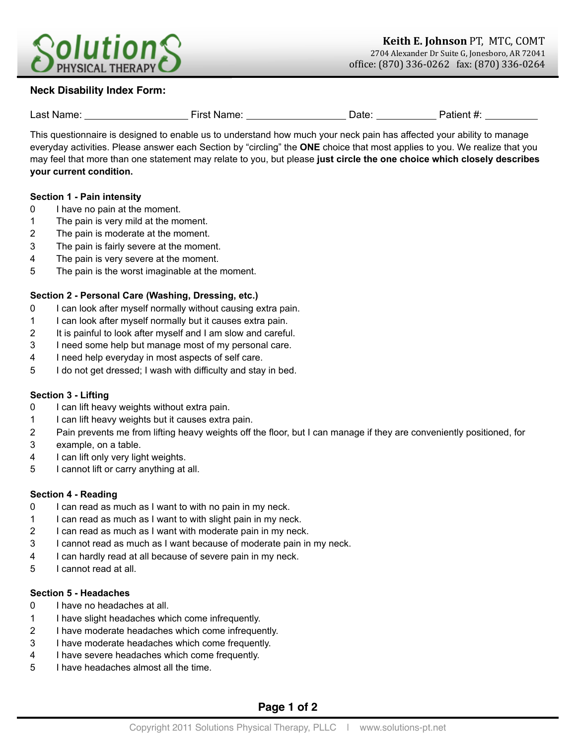

# **Neck Disability Index Form:**

| Last Name: | . Name <sup>.</sup><br>∙ırst | Date | '>atient #. |
|------------|------------------------------|------|-------------|
|            |                              |      |             |

This questionnaire is designed to enable us to understand how much your neck pain has affected your ability to manage everyday activities. Please answer each Section by "circling" the **ONE** choice that most applies to you. We realize that you may feel that more than one statement may relate to you, but please **just circle the one choice which closely describes your current condition.**

#### **Section 1 - Pain intensity**

- 0 I have no pain at the moment.
- 1 The pain is very mild at the moment.
- 2 The pain is moderate at the moment.
- 3 The pain is fairly severe at the moment.
- 4 The pain is very severe at the moment.
- 5 The pain is the worst imaginable at the moment.

## **Section 2 - Personal Care (Washing, Dressing, etc.)**

- 0 I can look after myself normally without causing extra pain.
- 1 I can look after myself normally but it causes extra pain.
- 2 It is painful to look after myself and I am slow and careful.
- 3 I need some help but manage most of my personal care.
- 4 I need help everyday in most aspects of self care.
- 5 I do not get dressed; I wash with difficulty and stay in bed.

## **Section 3 - Lifting**

- 0 I can lift heavy weights without extra pain.
- 1 I can lift heavy weights but it causes extra pain.
- 2 Pain prevents me from lifting heavy weights off the floor, but I can manage if they are conveniently positioned, for
- 3 example, on a table.
- 4 I can lift only very light weights.
- 5 I cannot lift or carry anything at all.

## **Section 4 - Reading**

- 0 I can read as much as I want to with no pain in my neck.
- 1 I can read as much as I want to with slight pain in my neck.
- 2 I can read as much as I want with moderate pain in my neck.
- 3 I cannot read as much as I want because of moderate pain in my neck.
- 4 I can hardly read at all because of severe pain in my neck.
- 5 I cannot read at all.

# **Section 5 - Headaches**

- 0 I have no headaches at all.
- 1 I have slight headaches which come infrequently.
- 2 I have moderate headaches which come infrequently.
- 3 I have moderate headaches which come frequently.
- 4 I have severe headaches which come frequently.
- 5 I have headaches almost all the time.